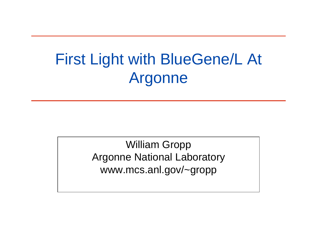# First Light with BlueGene/L At Argonne

William Gropp Argonne National Laboratory www.mcs.anl.gov/~gropp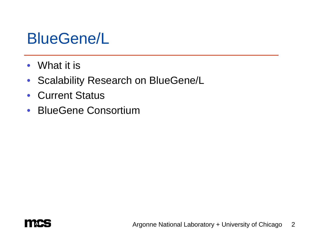## BlueGene/L

- What it is
- Scalability Research on BlueGene/L
- Current Status
- BlueGene Consortium

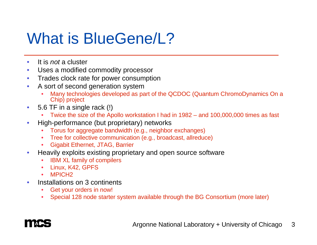# What is BlueGene/L?

- $\bullet$ It is *not* a cluster
- $\bullet$ Uses a modified commodity processor
- $\bullet$ Trades clock rate for power consumption
- • A sort of second generation system
	- •Many technologies developed as part of the QCDOC (Quantum ChromoDynamics On a Chip) project
- $\bullet$  5.6 TF in a single rack (!)
	- •Twice the size of the Apollo workstation I had in 1982 – and 100,000,000 times as fast
- $\bullet$  High-performance (but proprietary) networks
	- Torus for aggregate bandwidth (e.g., neighbor exchanges)
	- •Tree for collective communication (e.g., broadcast, allreduce)
	- •Gigabit Ethernet, JTAG, Barrier
- $\bullet$  Heavily exploits existing proprietary and open source software
	- IBM XL family of compilers
	- Linux, K42, GPFS
	- •MPICH<sub>2</sub>
- $\bullet$  Installations on 3 continents
	- •Get your orders in now!
	- •Special 128 node starter system available through the BG Consortium (more later)

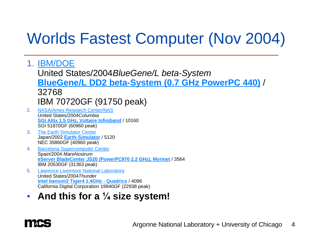## Worlds Fastest Computer (Nov 2004)

- 1. IBM/DOE United States/2004*BlueGene/L beta-System* **BlueGene/L DD2 beta-System (0.7 GHz PowerPC 440)** / 32768 IBM 70720GF (91750 peak)
- 2. NASA/Ames Research Center/NAS United States/2004*Columbia* **SGI Altix 1.5 GHz, Voltaire Infiniband** / 10160 SGI 51870GF (60960 peak)
- 3. The Earth Simulator Center Japan/2002 **Earth-Simulator** / 5120 NEC 35860GF (40960 peak)
- 4. Barcelona Supercomputer Center Spain/2004 *MareNostrum* **eServer BladeCenter JS20 (PowerPC970 2.2 GHz), Myrinet** / 3564 IBM 20530GF (31363 peak)
- 5. Lawrence Livermore National Laboratory United States/2004*Thunder* **Intel Itanium2 Tiger4 1.4GHz - Quadrics** / 4096 California Digital Corporation 19940GF (22938 peak)
- $\bullet$ • And this for a  $\frac{1}{4}$  size system!

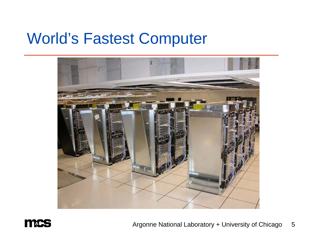#### World's Fastest Computer





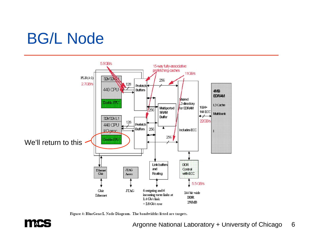# BG/L Node



Figure 4: BlueGene/L Node Diagram. The bandwidths listed are targets.

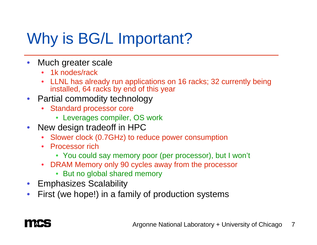# Why is **BG/L Important?**

- $\bullet$  Much greater scale
	- 1k nodes/rack
	- LLNL has already run applications on 16 racks; 32 currently being installed, 64 racks by end of this year
- $\bullet$  Partial commodity technology
	- • Standard processor core
		- Leverages compiler, OS work
- $\bullet$  New design tradeoff in HPC
	- $\bullet$ Slower clock (0.7GHz) to reduce power consumption
	- Processor rich
		- You could say memory poor (per processor), but I won't
	- DRAM Memory only 90 cycles away from the processor
		- But no global shared memory
- $\bullet$ Emphasizes Scalability
- $\bullet$ First (we hope!) in a family of production systems

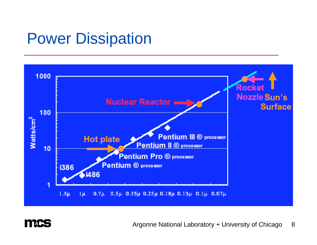## Power Dissipation



**TIAC** 

Argonne National Laboratory + University of Chicago 8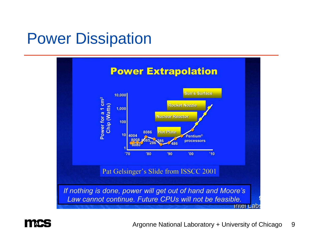## Power Dissipation





Argonne National Laboratory + University of Chicago 9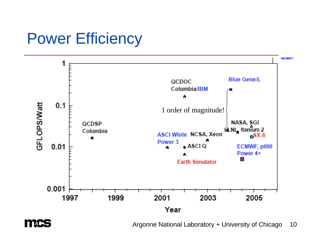## **Power Efficiency**



**A** 

Argonne National Laboratory + University of Chicago 10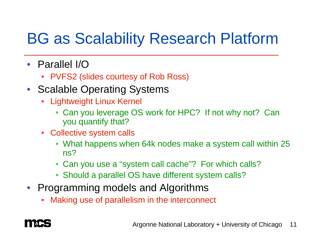# BG as Scalability Research Platform

- Parallel I/O
	- PVFS2 (slides courtesy of Rob Ross)
- Scalable Operating Systems
	- • Lightweight Linux Kernel
		- Can you leverage OS work for HPC? If not why not? Can you quantify that?
	- Collective system calls
		- What happens when 64k nodes make a system call within 25 ns?
		- Can you use a "system call cache"? For which calls?
		- Should a parallel OS have different system calls?
- Programming models and Algorithms
	- •Making use of parallelism in the interconnect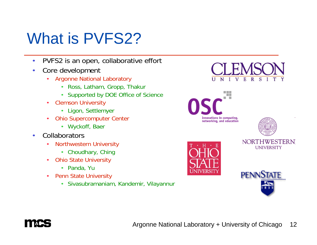# What is PVFS2?

- •PVFS2 is an open, collaborative effort
- $\bullet$  Core development
	- • Argonne National Laboratory
		- Ross, Latham, Gropp, Thakur
		- Supported by DOE Office of Science
	- • Clemson University
		- Ligon, Settlemyer
	- • Ohio Supercomputer Center
		- Wyckoff, Baer
- •**Collaborators** 
	- • Northwestern University
		- Choudhary, Ching
	- • Ohio State University
		- Panda, Yu
	- •**Penn State University** 
		- Sivasubramaniam, Kandemir, Vilayannur







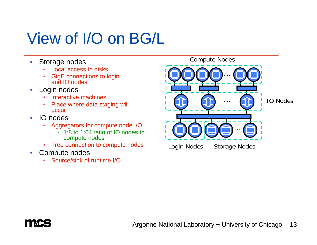# View of I/O on BG/L

- $\bullet$  Storage nodes
	- •Local access to disks
	- •GigE connections to login and IO nodes
- • Login nodes
	- Interactive machines
	- •Place where data staging will occur
- $\bullet$  IO nodes
	- • Aggregators for compute node I/O
		- 1:8 to 1:64 ratio of IO nodes to compute nodes
	- $\bullet$ Tree connection to compute nodes
- Compute nodes
	- •Source/sink of runtime I/O



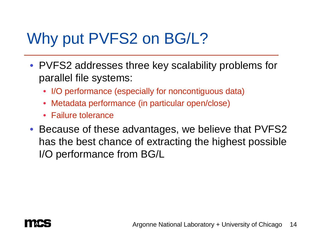# Why put PVFS2 on BG/L?

- PVFS2 addresses three key scalability problems for parallel file systems:
	- I/O performance (especially for noncontiguous data)
	- Metadata performance (in particular open/close)
	- Failure tolerance
- Because of these advantages, we believe that PVFS2 has the best chance of extracting the highest possible I/O performance from BG/L

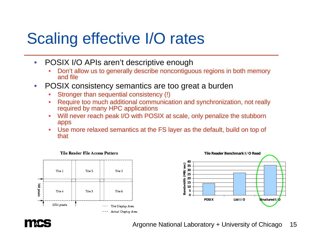# Scaling effective I/O rates

- $\bullet$  POSIX I/O APIs aren't descriptive enough
	- • Don't allow us to generally describe noncontiguous regions in both memory and file
- • POSIX consistency semantics are too great a burden
	- •Stronger than sequential consistency (!)
	- • Require too much additional communication and synchronization, not really required by many HPC applications
	- • Will never reach peak I/O with POSIX at scale, only penalize the stubborn apps
	- • Use more relaxed semantics at the FS layer as the default, build on top of that





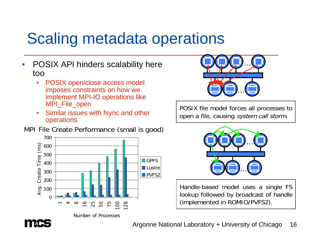# Scaling metadata operations

- $\bullet$  POSIX API hinders scalability here too
	- • POSIX open/close access model imposes constraints on how we implement MPI-IO operations like MPI\_File\_open
	- $\bullet$  Similar issues with fsync and other operations

MPI File Create Performance (small is good)







POSIX file model forces all processes to open a file, causing system call storm.



Handle-based model uses a single FS lookup followed by broadcast of handle (implemented in ROMIO/PVFS2).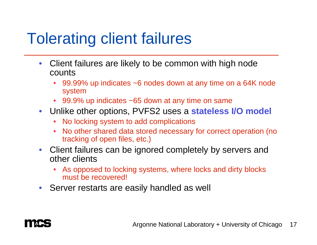## Tolerating client failures

- $\bullet$  Client failures are likely to be common with high node counts
	- • 99.99% up indicates ~6 nodes down at any time on a 64K node system
	- 99.9% up indicates ~65 down at any time on same
- Unlike other options, PVFS2 uses a **stateless I/O model**
	- No locking system to add complications
	- No other shared data stored necessary for correct operation (no tracking of open files, etc.)
- Client failures can be ignored completely by servers and other clients
	- As opposed to locking systems, where locks and dirty blocks must be recovered!
- Server restarts are easily handled as well

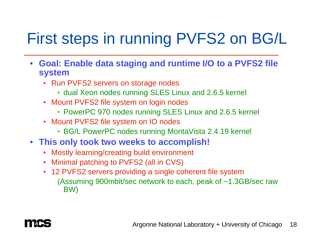# First steps in running PVFS2 on BG/L

- **Goal: Enable data staging and runtime I/O to a PVFS2 file system**
	- Run PVFS2 servers on storage nodes
		- dual Xeon nodes running SLES Linux and 2.6.5 kernel
	- Mount PVFS2 file system on login nodes
		- PowerPC 970 nodes running SLES Linux and 2.6.5 kernel
	- Mount PVFS2 file system on IO nodes
		- BG/L PowerPC nodes running MontaVista 2.4.19 kernel
- **This only took two weeks to accomplish!**
	- •Mostly learning/creating build environment
	- Minimal patching to PVFS2 (all in CVS)
	- 12 PVFS2 servers providing a single coherent file system (Assuming 900mbit/sec network to each, peak of ~1.3GB/sec raw BW)

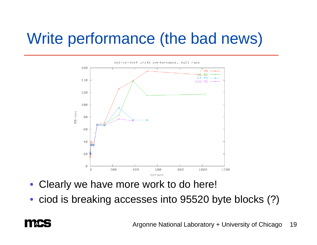# Write performance (the bad news)



- Clearly we have more work to do here!
- ciod is breaking accesses into 95520 byte blocks (?)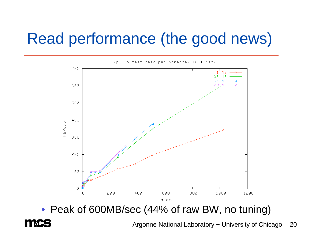## Read performance (the good news)



• Peak of 600MB/sec (44% of raw BW, no tuning)

Argonne National Laboratory + University of Chicago 20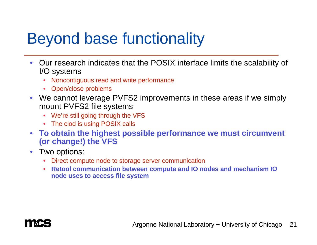# Beyond base functionality

- • Our research indicates that the POSIX interface limits the scalability of I/O systems
	- Noncontiguous read and write performance
	- Open/close problems
- We cannot leverage PVFS2 improvements in these areas if we simply mount PVFS2 file systems
	- We're still going through the VFS
	- The ciod is using POSIX calls
- **To obtain the highest possible performance we must circumvent (or change!) the VFS**
- Two options:
	- Direct compute node to storage server communication
	- • **Retool communication between compute and IO nodes and mechanism IO node uses to access file system**

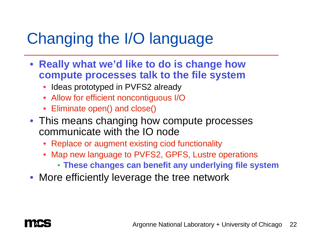# Changing the I/O language

- **Really what we'd like to do is change how compute processes talk to the file system**
	- Ideas prototyped in PVFS2 already
	- Allow for efficient noncontiguous I/O
	- Eliminate open() and close()
- This means changing how compute processes communicate with the IO node
	- Replace or augment existing ciod functionality
	- Map new language to PVFS2, GPFS, Lustre operations
		- **These changes can benefit any underlying file system**
- More efficiently leverage the tree network

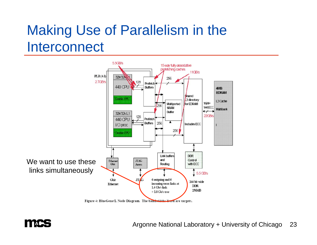#### Making Use of Parallelism in the **Interconnect**



Figure 4: BlueGene/L Node Diagram. The bandwidths listed are targets.



Argonne National Laboratory + University of Chicago 23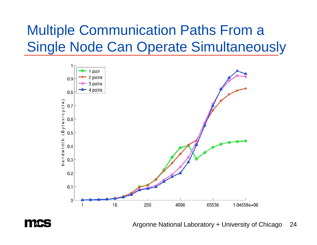#### Multiple Communication Paths From a Single Node Can Operate Simultaneously





Argonne National Laboratory + University of Chicago 24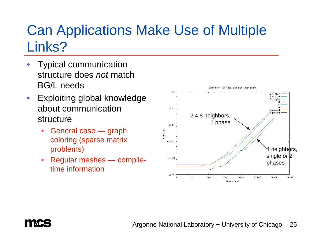#### Can Applications Make Use of Multiple Links?

- $\bullet$  Typical communication structure does *not* match BG/L needs
- $\bullet$  Exploiting global knowledge about communication structure
	- $\bullet$  General case — graph coloring (sparse matrix problems)
	- $\bullet$  Regular meshes — compiletime information



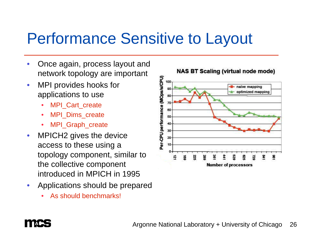### Performance Sensitive to Layout

- • Once again, process layout and network topology are important
- • MPI provides hooks for applications to use
	- •MPI Cart create
	- •MPI\_Dims\_create
	- •MPI Graph create
- $\bullet$  MPICH2 gives the device access to these using a topology component, similar to the collective component introduced in MPICH in 1995
- $\bullet$  Applications should be prepared
	- •As should benchmarks!



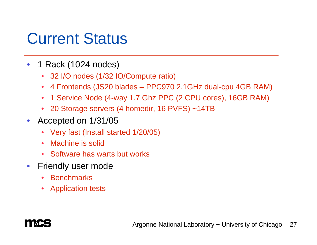### Current Status

- $\bullet$  1 Rack (1024 nodes)
	- 32 I/O nodes (1/32 IO/Compute ratio)
	- •4 Frontends (JS20 blades – PPC970 2.1GHz dual-cpu 4GB RAM)
	- $\bullet$ 1 Service Node (4-way 1.7 Ghz PPC (2 CPU cores), 16GB RAM)
	- 20 Storage servers (4 homedir, 16 PVFS) ~14TB
- $\bullet$  Accepted on 1/31/05
	- Very fast (Install started 1/20/05)
	- $\bullet$ Machine is solid
	- Software has warts but works
- $\bullet$  Friendly user mode
	- Benchmarks
	- Application tests

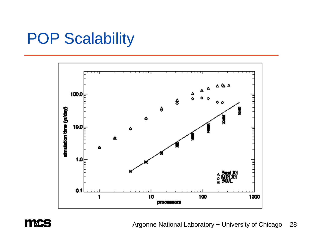## POP Scalability





Argonne National Laboratory + University of Chicago 28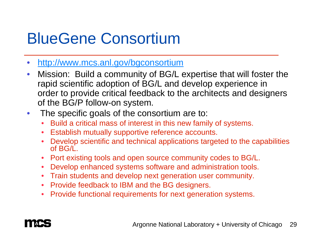# BlueGene Consortium

- $\bullet$ http://www.mcs.anl.gov/bgconsortium
- $\bullet$  Mission: Build a community of BG/L expertise that will foster the rapid scientific adoption of BG/L and develop experience in order to provide critical feedback to the architects and designers of the BG/P follow-on system.
- The specific goals of the consortium are to:
	- •Build a critical mass of interest in this new family of systems.
	- $\bullet$ Establish mutually supportive reference accounts.
	- • Develop scientific and technical applications targeted to the capabilities of BG/L.
	- $\bullet$ Port existing tools and open source community codes to BG/L.
	- $\bullet$ Develop enhanced systems software and administration tools.
	- Train students and develop next generation user community.
	- Provide feedback to IBM and the BG designers.
	- •Provide functional requirements for next generation systems.

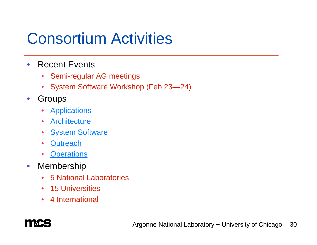## Consortium Activities

- $\bullet$  Recent Events
	- Semi-regular AG meetings
	- System Software Workshop (Feb 23—24)
- $\bullet$  Groups
	- Applications
	- $\bullet$ **Architecture**
	- •**System Software**
	- $\bullet$ **Outreach**
	- •**Operations**
- $\bullet$  Membership
	- $\bullet$ 5 National Laboratories
	- 15 Universities
	- 4 International